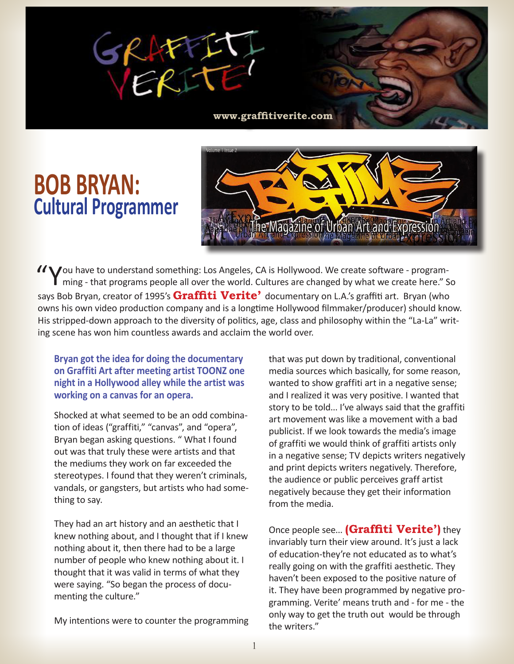

**www.graffitiverite.com**

## **BOB BRYAN: Cultural Programmer**



"You have to understand something: Los Angeles, CA is Hollywood. We create software - program-ming - that programs people all over the world. Cultures are changed by what we create here." So says Bob Bryan, creator of 1995's **Graffiti Verite'** documentary on L.A.'s graffiti art. Bryan (who owns his own video production company and is a longtime Hollywood filmmaker/producer) should know. His stripped-down approach to the diversity of politics, age, class and philosophy within the "La-La" writing scene has won him countless awards and acclaim the world over.

**Bryan got the idea for doing the documentary on Graffiti Art after meeting artist TOONZ one night in a Hollywood alley while the artist was working on a canvas for an opera.**

Shocked at what seemed to be an odd combination of ideas ("graffiti," "canvas", and "opera", Bryan began asking questions. " What I found out was that truly these were artists and that the mediums they work on far exceeded the stereotypes. I found that they weren't criminals, vandals, or gangsters, but artists who had something to say.

They had an art history and an aesthetic that I knew nothing about, and I thought that if I knew nothing about it, then there had to be a large number of people who knew nothing about it. I thought that it was valid in terms of what they were saying. "So began the process of documenting the culture."

My intentions were to counter the programming

that was put down by traditional, conventional media sources which basically, for some reason, wanted to show graffiti art in a negative sense; and I realized it was very positive. I wanted that story to be told... I've always said that the graffiti art movement was like a movement with a bad publicist. If we look towards the media's image of graffiti we would think of graffiti artists only in a negative sense; TV depicts writers negatively and print depicts writers negatively. Therefore, the audience or public perceives graff artist negatively because they get their information from the media.

Once people see... **(Graffiti Verite')** they invariably turn their view around. It's just a lack of education-they're not educated as to what's really going on with the graffiti aesthetic. They haven't been exposed to the positive nature of it. They have been programmed by negative programming. Verite' means truth and - for me - the only way to get the truth out would be through the writers."